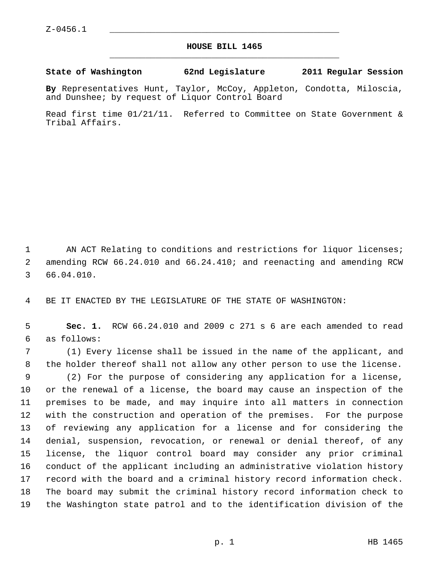## **HOUSE BILL 1465** \_\_\_\_\_\_\_\_\_\_\_\_\_\_\_\_\_\_\_\_\_\_\_\_\_\_\_\_\_\_\_\_\_\_\_\_\_\_\_\_\_\_\_\_\_

**State of Washington 62nd Legislature 2011 Regular Session**

**By** Representatives Hunt, Taylor, McCoy, Appleton, Condotta, Miloscia, and Dunshee; by request of Liquor Control Board

Read first time 01/21/11. Referred to Committee on State Government & Tribal Affairs.

1 AN ACT Relating to conditions and restrictions for liquor licenses; 2 amending RCW 66.24.010 and 66.24.410; and reenacting and amending RCW 3 66.04.010.

4 BE IT ENACTED BY THE LEGISLATURE OF THE STATE OF WASHINGTON:

 5 **Sec. 1.** RCW 66.24.010 and 2009 c 271 s 6 are each amended to read 6 as follows:

 7 (1) Every license shall be issued in the name of the applicant, and 8 the holder thereof shall not allow any other person to use the license. 9 (2) For the purpose of considering any application for a license, 10 or the renewal of a license, the board may cause an inspection of the 11 premises to be made, and may inquire into all matters in connection 12 with the construction and operation of the premises. For the purpose 13 of reviewing any application for a license and for considering the 14 denial, suspension, revocation, or renewal or denial thereof, of any 15 license, the liquor control board may consider any prior criminal 16 conduct of the applicant including an administrative violation history 17 record with the board and a criminal history record information check. 18 The board may submit the criminal history record information check to 19 the Washington state patrol and to the identification division of the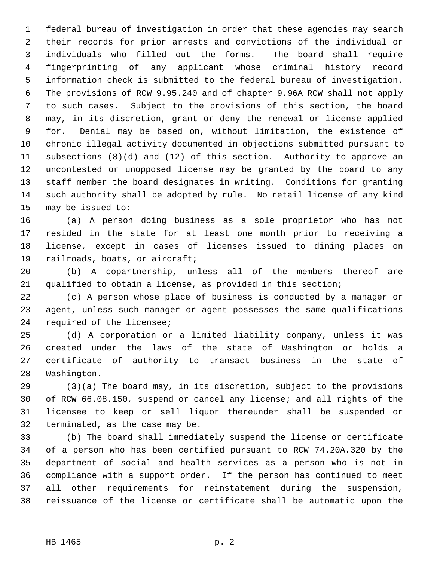1 federal bureau of investigation in order that these agencies may search 2 their records for prior arrests and convictions of the individual or 3 individuals who filled out the forms. The board shall require 4 fingerprinting of any applicant whose criminal history record 5 information check is submitted to the federal bureau of investigation. 6 The provisions of RCW 9.95.240 and of chapter 9.96A RCW shall not apply 7 to such cases. Subject to the provisions of this section, the board 8 may, in its discretion, grant or deny the renewal or license applied 9 for. Denial may be based on, without limitation, the existence of 10 chronic illegal activity documented in objections submitted pursuant to 11 subsections (8)(d) and (12) of this section. Authority to approve an 12 uncontested or unopposed license may be granted by the board to any 13 staff member the board designates in writing. Conditions for granting 14 such authority shall be adopted by rule. No retail license of any kind 15 may be issued to:

16 (a) A person doing business as a sole proprietor who has not 17 resided in the state for at least one month prior to receiving a 18 license, except in cases of licenses issued to dining places on 19 railroads, boats, or aircraft;

20 (b) A copartnership, unless all of the members thereof are 21 qualified to obtain a license, as provided in this section;

22 (c) A person whose place of business is conducted by a manager or 23 agent, unless such manager or agent possesses the same qualifications 24 required of the licensee;

25 (d) A corporation or a limited liability company, unless it was 26 created under the laws of the state of Washington or holds a 27 certificate of authority to transact business in the state of 28 Washington.

29 (3)(a) The board may, in its discretion, subject to the provisions 30 of RCW 66.08.150, suspend or cancel any license; and all rights of the 31 licensee to keep or sell liquor thereunder shall be suspended or 32 terminated, as the case may be.

33 (b) The board shall immediately suspend the license or certificate 34 of a person who has been certified pursuant to RCW 74.20A.320 by the 35 department of social and health services as a person who is not in 36 compliance with a support order. If the person has continued to meet 37 all other requirements for reinstatement during the suspension, 38 reissuance of the license or certificate shall be automatic upon the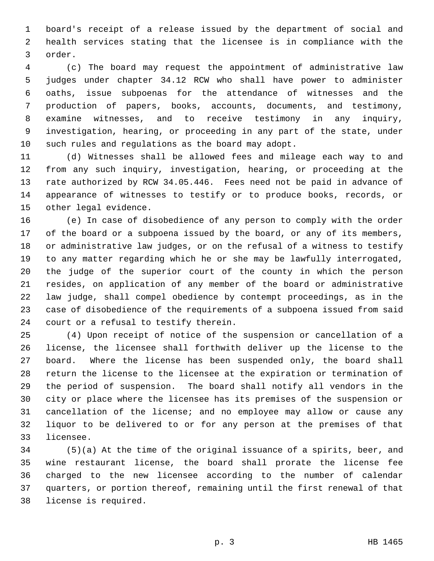1 board's receipt of a release issued by the department of social and 2 health services stating that the licensee is in compliance with the 3 order.

 4 (c) The board may request the appointment of administrative law 5 judges under chapter 34.12 RCW who shall have power to administer 6 oaths, issue subpoenas for the attendance of witnesses and the 7 production of papers, books, accounts, documents, and testimony, 8 examine witnesses, and to receive testimony in any inquiry, 9 investigation, hearing, or proceeding in any part of the state, under 10 such rules and regulations as the board may adopt.

11 (d) Witnesses shall be allowed fees and mileage each way to and 12 from any such inquiry, investigation, hearing, or proceeding at the 13 rate authorized by RCW 34.05.446. Fees need not be paid in advance of 14 appearance of witnesses to testify or to produce books, records, or 15 other legal evidence.

16 (e) In case of disobedience of any person to comply with the order 17 of the board or a subpoena issued by the board, or any of its members, 18 or administrative law judges, or on the refusal of a witness to testify 19 to any matter regarding which he or she may be lawfully interrogated, 20 the judge of the superior court of the county in which the person 21 resides, on application of any member of the board or administrative 22 law judge, shall compel obedience by contempt proceedings, as in the 23 case of disobedience of the requirements of a subpoena issued from said 24 court or a refusal to testify therein.

25 (4) Upon receipt of notice of the suspension or cancellation of a 26 license, the licensee shall forthwith deliver up the license to the 27 board. Where the license has been suspended only, the board shall 28 return the license to the licensee at the expiration or termination of 29 the period of suspension. The board shall notify all vendors in the 30 city or place where the licensee has its premises of the suspension or 31 cancellation of the license; and no employee may allow or cause any 32 liquor to be delivered to or for any person at the premises of that 33 licensee.

34 (5)(a) At the time of the original issuance of a spirits, beer, and 35 wine restaurant license, the board shall prorate the license fee 36 charged to the new licensee according to the number of calendar 37 quarters, or portion thereof, remaining until the first renewal of that 38 license is required.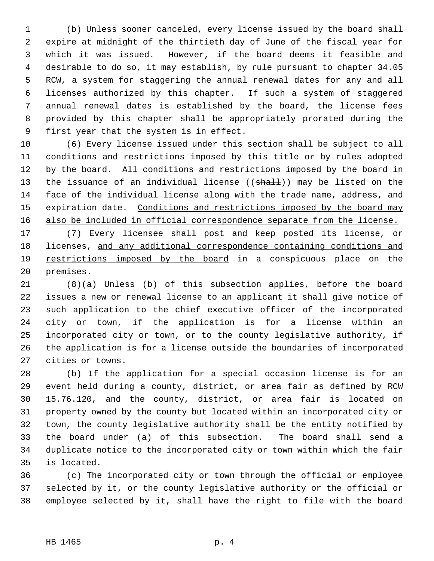1 (b) Unless sooner canceled, every license issued by the board shall 2 expire at midnight of the thirtieth day of June of the fiscal year for 3 which it was issued. However, if the board deems it feasible and 4 desirable to do so, it may establish, by rule pursuant to chapter 34.05 5 RCW, a system for staggering the annual renewal dates for any and all 6 licenses authorized by this chapter. If such a system of staggered 7 annual renewal dates is established by the board, the license fees 8 provided by this chapter shall be appropriately prorated during the 9 first year that the system is in effect.

10 (6) Every license issued under this section shall be subject to all 11 conditions and restrictions imposed by this title or by rules adopted 12 by the board. All conditions and restrictions imposed by the board in 13 the issuance of an individual license ((shall)) may be listed on the 14 face of the individual license along with the trade name, address, and 15 expiration date. Conditions and restrictions imposed by the board may 16 also be included in official correspondence separate from the license.

17 (7) Every licensee shall post and keep posted its license, or 18 licenses, and any additional correspondence containing conditions and 19 restrictions imposed by the board in a conspicuous place on the 20 premises.

21 (8)(a) Unless (b) of this subsection applies, before the board 22 issues a new or renewal license to an applicant it shall give notice of 23 such application to the chief executive officer of the incorporated 24 city or town, if the application is for a license within an 25 incorporated city or town, or to the county legislative authority, if 26 the application is for a license outside the boundaries of incorporated 27 cities or towns.

28 (b) If the application for a special occasion license is for an 29 event held during a county, district, or area fair as defined by RCW 30 15.76.120, and the county, district, or area fair is located on 31 property owned by the county but located within an incorporated city or 32 town, the county legislative authority shall be the entity notified by 33 the board under (a) of this subsection. The board shall send a 34 duplicate notice to the incorporated city or town within which the fair 35 is located.

36 (c) The incorporated city or town through the official or employee 37 selected by it, or the county legislative authority or the official or 38 employee selected by it, shall have the right to file with the board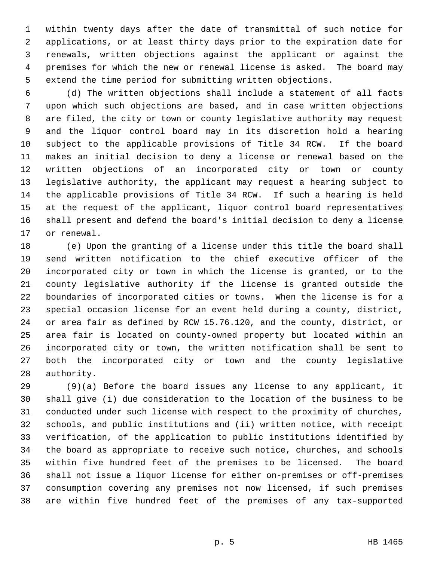1 within twenty days after the date of transmittal of such notice for 2 applications, or at least thirty days prior to the expiration date for 3 renewals, written objections against the applicant or against the 4 premises for which the new or renewal license is asked. The board may 5 extend the time period for submitting written objections.

 6 (d) The written objections shall include a statement of all facts 7 upon which such objections are based, and in case written objections 8 are filed, the city or town or county legislative authority may request 9 and the liquor control board may in its discretion hold a hearing 10 subject to the applicable provisions of Title 34 RCW. If the board 11 makes an initial decision to deny a license or renewal based on the 12 written objections of an incorporated city or town or county 13 legislative authority, the applicant may request a hearing subject to 14 the applicable provisions of Title 34 RCW. If such a hearing is held 15 at the request of the applicant, liquor control board representatives 16 shall present and defend the board's initial decision to deny a license 17 or renewal.

18 (e) Upon the granting of a license under this title the board shall 19 send written notification to the chief executive officer of the 20 incorporated city or town in which the license is granted, or to the 21 county legislative authority if the license is granted outside the 22 boundaries of incorporated cities or towns. When the license is for a 23 special occasion license for an event held during a county, district, 24 or area fair as defined by RCW 15.76.120, and the county, district, or 25 area fair is located on county-owned property but located within an 26 incorporated city or town, the written notification shall be sent to 27 both the incorporated city or town and the county legislative 28 authority.

29 (9)(a) Before the board issues any license to any applicant, it 30 shall give (i) due consideration to the location of the business to be 31 conducted under such license with respect to the proximity of churches, 32 schools, and public institutions and (ii) written notice, with receipt 33 verification, of the application to public institutions identified by 34 the board as appropriate to receive such notice, churches, and schools 35 within five hundred feet of the premises to be licensed. The board 36 shall not issue a liquor license for either on-premises or off-premises 37 consumption covering any premises not now licensed, if such premises 38 are within five hundred feet of the premises of any tax-supported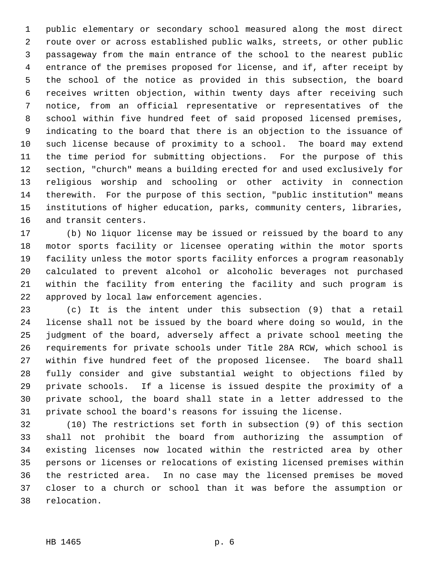1 public elementary or secondary school measured along the most direct 2 route over or across established public walks, streets, or other public 3 passageway from the main entrance of the school to the nearest public 4 entrance of the premises proposed for license, and if, after receipt by 5 the school of the notice as provided in this subsection, the board 6 receives written objection, within twenty days after receiving such 7 notice, from an official representative or representatives of the 8 school within five hundred feet of said proposed licensed premises, 9 indicating to the board that there is an objection to the issuance of 10 such license because of proximity to a school. The board may extend 11 the time period for submitting objections. For the purpose of this 12 section, "church" means a building erected for and used exclusively for 13 religious worship and schooling or other activity in connection 14 therewith. For the purpose of this section, "public institution" means 15 institutions of higher education, parks, community centers, libraries, 16 and transit centers.

17 (b) No liquor license may be issued or reissued by the board to any 18 motor sports facility or licensee operating within the motor sports 19 facility unless the motor sports facility enforces a program reasonably 20 calculated to prevent alcohol or alcoholic beverages not purchased 21 within the facility from entering the facility and such program is 22 approved by local law enforcement agencies.

23 (c) It is the intent under this subsection (9) that a retail 24 license shall not be issued by the board where doing so would, in the 25 judgment of the board, adversely affect a private school meeting the 26 requirements for private schools under Title 28A RCW, which school is 27 within five hundred feet of the proposed licensee. The board shall 28 fully consider and give substantial weight to objections filed by 29 private schools. If a license is issued despite the proximity of a 30 private school, the board shall state in a letter addressed to the 31 private school the board's reasons for issuing the license.

32 (10) The restrictions set forth in subsection (9) of this section 33 shall not prohibit the board from authorizing the assumption of 34 existing licenses now located within the restricted area by other 35 persons or licenses or relocations of existing licensed premises within 36 the restricted area. In no case may the licensed premises be moved 37 closer to a church or school than it was before the assumption or 38 relocation.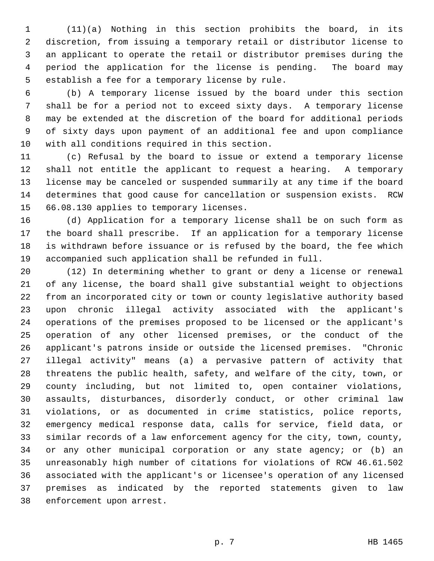1 (11)(a) Nothing in this section prohibits the board, in its 2 discretion, from issuing a temporary retail or distributor license to 3 an applicant to operate the retail or distributor premises during the 4 period the application for the license is pending. The board may 5 establish a fee for a temporary license by rule.

 6 (b) A temporary license issued by the board under this section 7 shall be for a period not to exceed sixty days. A temporary license 8 may be extended at the discretion of the board for additional periods 9 of sixty days upon payment of an additional fee and upon compliance 10 with all conditions required in this section.

11 (c) Refusal by the board to issue or extend a temporary license 12 shall not entitle the applicant to request a hearing. A temporary 13 license may be canceled or suspended summarily at any time if the board 14 determines that good cause for cancellation or suspension exists. RCW 15 66.08.130 applies to temporary licenses.

16 (d) Application for a temporary license shall be on such form as 17 the board shall prescribe. If an application for a temporary license 18 is withdrawn before issuance or is refused by the board, the fee which 19 accompanied such application shall be refunded in full.

20 (12) In determining whether to grant or deny a license or renewal 21 of any license, the board shall give substantial weight to objections 22 from an incorporated city or town or county legislative authority based 23 upon chronic illegal activity associated with the applicant's 24 operations of the premises proposed to be licensed or the applicant's 25 operation of any other licensed premises, or the conduct of the 26 applicant's patrons inside or outside the licensed premises. "Chronic 27 illegal activity" means (a) a pervasive pattern of activity that 28 threatens the public health, safety, and welfare of the city, town, or 29 county including, but not limited to, open container violations, 30 assaults, disturbances, disorderly conduct, or other criminal law 31 violations, or as documented in crime statistics, police reports, 32 emergency medical response data, calls for service, field data, or 33 similar records of a law enforcement agency for the city, town, county, 34 or any other municipal corporation or any state agency; or (b) an 35 unreasonably high number of citations for violations of RCW 46.61.502 36 associated with the applicant's or licensee's operation of any licensed 37 premises as indicated by the reported statements given to law 38 enforcement upon arrest.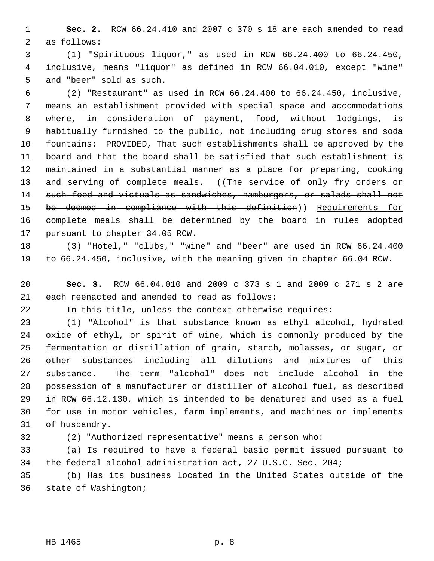1 **Sec. 2.** RCW 66.24.410 and 2007 c 370 s 18 are each amended to read 2 as follows:

 3 (1) "Spirituous liquor," as used in RCW 66.24.400 to 66.24.450, 4 inclusive, means "liquor" as defined in RCW 66.04.010, except "wine" 5 and "beer" sold as such.

 6 (2) "Restaurant" as used in RCW 66.24.400 to 66.24.450, inclusive, 7 means an establishment provided with special space and accommodations 8 where, in consideration of payment, food, without lodgings, is 9 habitually furnished to the public, not including drug stores and soda 10 fountains: PROVIDED, That such establishments shall be approved by the 11 board and that the board shall be satisfied that such establishment is 12 maintained in a substantial manner as a place for preparing, cooking 13 and serving of complete meals. ((The service of only fry orders or 14 such food and victuals as sandwiches, hamburgers, or salads shall not 15 be deemed in compliance with this definition)) Requirements for 16 complete meals shall be determined by the board in rules adopted 17 pursuant to chapter 34.05 RCW.

18 (3) "Hotel," "clubs," "wine" and "beer" are used in RCW 66.24.400 19 to 66.24.450, inclusive, with the meaning given in chapter 66.04 RCW.

20 **Sec. 3.** RCW 66.04.010 and 2009 c 373 s 1 and 2009 c 271 s 2 are 21 each reenacted and amended to read as follows:

22 In this title, unless the context otherwise requires:

23 (1) "Alcohol" is that substance known as ethyl alcohol, hydrated 24 oxide of ethyl, or spirit of wine, which is commonly produced by the 25 fermentation or distillation of grain, starch, molasses, or sugar, or 26 other substances including all dilutions and mixtures of this 27 substance. The term "alcohol" does not include alcohol in the 28 possession of a manufacturer or distiller of alcohol fuel, as described 29 in RCW 66.12.130, which is intended to be denatured and used as a fuel 30 for use in motor vehicles, farm implements, and machines or implements 31 of husbandry.

32 (2) "Authorized representative" means a person who:

33 (a) Is required to have a federal basic permit issued pursuant to 34 the federal alcohol administration act, 27 U.S.C. Sec. 204;

35 (b) Has its business located in the United States outside of the 36 state of Washington;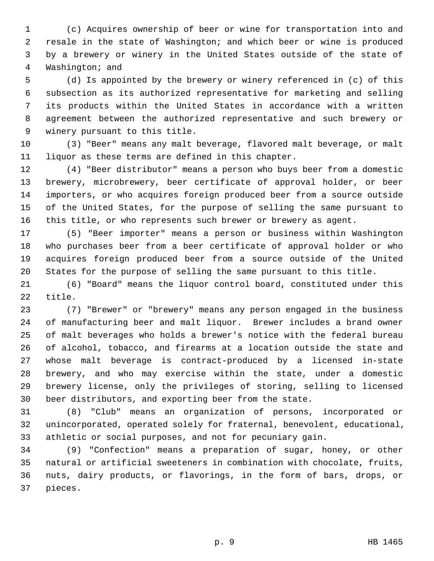1 (c) Acquires ownership of beer or wine for transportation into and 2 resale in the state of Washington; and which beer or wine is produced 3 by a brewery or winery in the United States outside of the state of 4 Washington; and

 5 (d) Is appointed by the brewery or winery referenced in (c) of this 6 subsection as its authorized representative for marketing and selling 7 its products within the United States in accordance with a written 8 agreement between the authorized representative and such brewery or 9 winery pursuant to this title.

10 (3) "Beer" means any malt beverage, flavored malt beverage, or malt 11 liquor as these terms are defined in this chapter.

12 (4) "Beer distributor" means a person who buys beer from a domestic 13 brewery, microbrewery, beer certificate of approval holder, or beer 14 importers, or who acquires foreign produced beer from a source outside 15 of the United States, for the purpose of selling the same pursuant to 16 this title, or who represents such brewer or brewery as agent.

17 (5) "Beer importer" means a person or business within Washington 18 who purchases beer from a beer certificate of approval holder or who 19 acquires foreign produced beer from a source outside of the United 20 States for the purpose of selling the same pursuant to this title.

21 (6) "Board" means the liquor control board, constituted under this 22 title.

23 (7) "Brewer" or "brewery" means any person engaged in the business 24 of manufacturing beer and malt liquor. Brewer includes a brand owner 25 of malt beverages who holds a brewer's notice with the federal bureau 26 of alcohol, tobacco, and firearms at a location outside the state and 27 whose malt beverage is contract-produced by a licensed in-state 28 brewery, and who may exercise within the state, under a domestic 29 brewery license, only the privileges of storing, selling to licensed 30 beer distributors, and exporting beer from the state.

31 (8) "Club" means an organization of persons, incorporated or 32 unincorporated, operated solely for fraternal, benevolent, educational, 33 athletic or social purposes, and not for pecuniary gain.

34 (9) "Confection" means a preparation of sugar, honey, or other 35 natural or artificial sweeteners in combination with chocolate, fruits, 36 nuts, dairy products, or flavorings, in the form of bars, drops, or 37 pieces.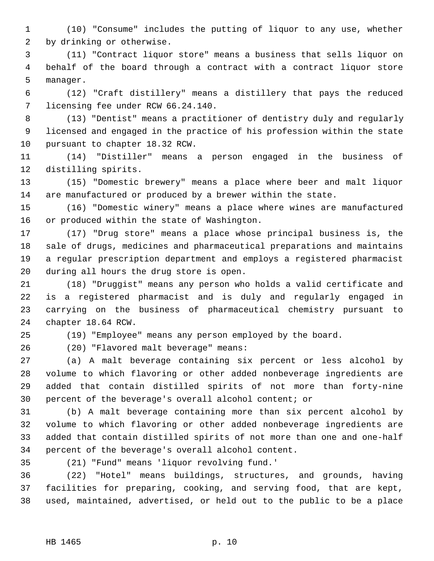1 (10) "Consume" includes the putting of liquor to any use, whether 2 by drinking or otherwise.

 3 (11) "Contract liquor store" means a business that sells liquor on 4 behalf of the board through a contract with a contract liquor store 5 manager.

 6 (12) "Craft distillery" means a distillery that pays the reduced 7 licensing fee under RCW 66.24.140.

 8 (13) "Dentist" means a practitioner of dentistry duly and regularly 9 licensed and engaged in the practice of his profession within the state 10 pursuant to chapter 18.32 RCW.

11 (14) "Distiller" means a person engaged in the business of 12 distilling spirits.

13 (15) "Domestic brewery" means a place where beer and malt liquor 14 are manufactured or produced by a brewer within the state.

15 (16) "Domestic winery" means a place where wines are manufactured 16 or produced within the state of Washington.

17 (17) "Drug store" means a place whose principal business is, the 18 sale of drugs, medicines and pharmaceutical preparations and maintains 19 a regular prescription department and employs a registered pharmacist 20 during all hours the drug store is open.

21 (18) "Druggist" means any person who holds a valid certificate and 22 is a registered pharmacist and is duly and regularly engaged in 23 carrying on the business of pharmaceutical chemistry pursuant to 24 chapter 18.64 RCW.

25 (19) "Employee" means any person employed by the board.

26 (20) "Flavored malt beverage" means:

27 (a) A malt beverage containing six percent or less alcohol by 28 volume to which flavoring or other added nonbeverage ingredients are 29 added that contain distilled spirits of not more than forty-nine 30 percent of the beverage's overall alcohol content; or

31 (b) A malt beverage containing more than six percent alcohol by 32 volume to which flavoring or other added nonbeverage ingredients are 33 added that contain distilled spirits of not more than one and one-half 34 percent of the beverage's overall alcohol content.

35 (21) "Fund" means 'liquor revolving fund.'

36 (22) "Hotel" means buildings, structures, and grounds, having 37 facilities for preparing, cooking, and serving food, that are kept, 38 used, maintained, advertised, or held out to the public to be a place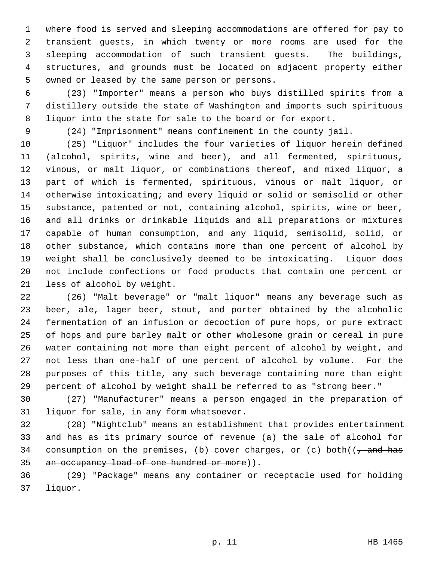1 where food is served and sleeping accommodations are offered for pay to 2 transient guests, in which twenty or more rooms are used for the 3 sleeping accommodation of such transient guests. The buildings, 4 structures, and grounds must be located on adjacent property either 5 owned or leased by the same person or persons.

 6 (23) "Importer" means a person who buys distilled spirits from a 7 distillery outside the state of Washington and imports such spirituous 8 liquor into the state for sale to the board or for export.

9 (24) "Imprisonment" means confinement in the county jail.

10 (25) "Liquor" includes the four varieties of liquor herein defined 11 (alcohol, spirits, wine and beer), and all fermented, spirituous, 12 vinous, or malt liquor, or combinations thereof, and mixed liquor, a 13 part of which is fermented, spirituous, vinous or malt liquor, or 14 otherwise intoxicating; and every liquid or solid or semisolid or other 15 substance, patented or not, containing alcohol, spirits, wine or beer, 16 and all drinks or drinkable liquids and all preparations or mixtures 17 capable of human consumption, and any liquid, semisolid, solid, or 18 other substance, which contains more than one percent of alcohol by 19 weight shall be conclusively deemed to be intoxicating. Liquor does 20 not include confections or food products that contain one percent or 21 less of alcohol by weight.

22 (26) "Malt beverage" or "malt liquor" means any beverage such as 23 beer, ale, lager beer, stout, and porter obtained by the alcoholic 24 fermentation of an infusion or decoction of pure hops, or pure extract 25 of hops and pure barley malt or other wholesome grain or cereal in pure 26 water containing not more than eight percent of alcohol by weight, and 27 not less than one-half of one percent of alcohol by volume. For the 28 purposes of this title, any such beverage containing more than eight 29 percent of alcohol by weight shall be referred to as "strong beer."

30 (27) "Manufacturer" means a person engaged in the preparation of 31 liquor for sale, in any form whatsoever.

32 (28) "Nightclub" means an establishment that provides entertainment 33 and has as its primary source of revenue (a) the sale of alcohol for 34 consumption on the premises, (b) cover charges, or (c) both( $\sqrt{\frac{a}{a}}$  and has 35 an occupancy load of one hundred or more)).

36 (29) "Package" means any container or receptacle used for holding 37 liquor.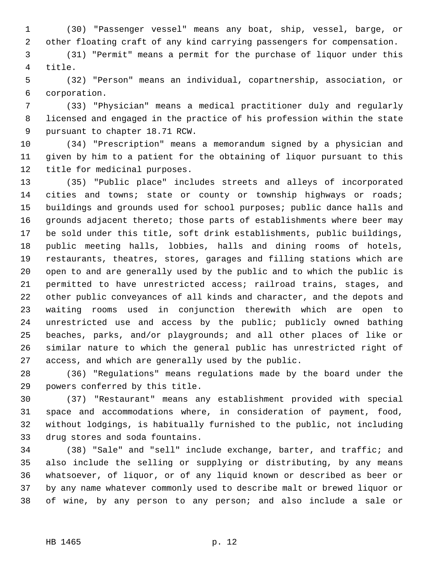1 (30) "Passenger vessel" means any boat, ship, vessel, barge, or 2 other floating craft of any kind carrying passengers for compensation.

 3 (31) "Permit" means a permit for the purchase of liquor under this 4 title.

 5 (32) "Person" means an individual, copartnership, association, or 6 corporation.

 7 (33) "Physician" means a medical practitioner duly and regularly 8 licensed and engaged in the practice of his profession within the state 9 pursuant to chapter 18.71 RCW.

10 (34) "Prescription" means a memorandum signed by a physician and 11 given by him to a patient for the obtaining of liquor pursuant to this 12 title for medicinal purposes.

13 (35) "Public place" includes streets and alleys of incorporated 14 cities and towns; state or county or township highways or roads; 15 buildings and grounds used for school purposes; public dance halls and 16 grounds adjacent thereto; those parts of establishments where beer may 17 be sold under this title, soft drink establishments, public buildings, 18 public meeting halls, lobbies, halls and dining rooms of hotels, 19 restaurants, theatres, stores, garages and filling stations which are 20 open to and are generally used by the public and to which the public is 21 permitted to have unrestricted access; railroad trains, stages, and 22 other public conveyances of all kinds and character, and the depots and 23 waiting rooms used in conjunction therewith which are open to 24 unrestricted use and access by the public; publicly owned bathing 25 beaches, parks, and/or playgrounds; and all other places of like or 26 similar nature to which the general public has unrestricted right of 27 access, and which are generally used by the public.

28 (36) "Regulations" means regulations made by the board under the 29 powers conferred by this title.

30 (37) "Restaurant" means any establishment provided with special 31 space and accommodations where, in consideration of payment, food, 32 without lodgings, is habitually furnished to the public, not including 33 drug stores and soda fountains.

34 (38) "Sale" and "sell" include exchange, barter, and traffic; and 35 also include the selling or supplying or distributing, by any means 36 whatsoever, of liquor, or of any liquid known or described as beer or 37 by any name whatever commonly used to describe malt or brewed liquor or 38 of wine, by any person to any person; and also include a sale or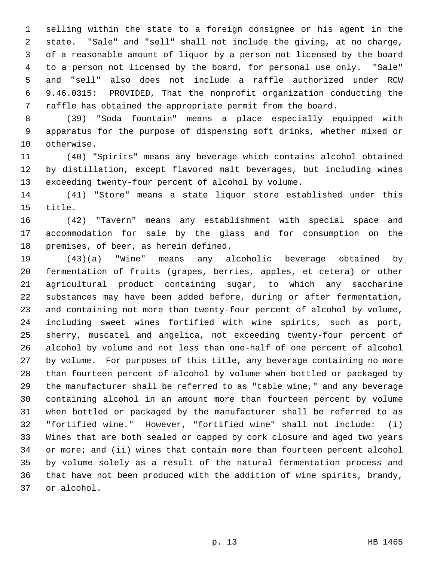1 selling within the state to a foreign consignee or his agent in the 2 state. "Sale" and "sell" shall not include the giving, at no charge, 3 of a reasonable amount of liquor by a person not licensed by the board 4 to a person not licensed by the board, for personal use only. "Sale" 5 and "sell" also does not include a raffle authorized under RCW 6 9.46.0315: PROVIDED, That the nonprofit organization conducting the 7 raffle has obtained the appropriate permit from the board.

 8 (39) "Soda fountain" means a place especially equipped with 9 apparatus for the purpose of dispensing soft drinks, whether mixed or 10 otherwise.

11 (40) "Spirits" means any beverage which contains alcohol obtained 12 by distillation, except flavored malt beverages, but including wines 13 exceeding twenty-four percent of alcohol by volume.

14 (41) "Store" means a state liquor store established under this 15 title.

16 (42) "Tavern" means any establishment with special space and 17 accommodation for sale by the glass and for consumption on the 18 premises, of beer, as herein defined.

19 (43)(a) "Wine" means any alcoholic beverage obtained by 20 fermentation of fruits (grapes, berries, apples, et cetera) or other 21 agricultural product containing sugar, to which any saccharine 22 substances may have been added before, during or after fermentation, 23 and containing not more than twenty-four percent of alcohol by volume, 24 including sweet wines fortified with wine spirits, such as port, 25 sherry, muscatel and angelica, not exceeding twenty-four percent of 26 alcohol by volume and not less than one-half of one percent of alcohol 27 by volume. For purposes of this title, any beverage containing no more 28 than fourteen percent of alcohol by volume when bottled or packaged by 29 the manufacturer shall be referred to as "table wine," and any beverage 30 containing alcohol in an amount more than fourteen percent by volume 31 when bottled or packaged by the manufacturer shall be referred to as 32 "fortified wine." However, "fortified wine" shall not include: (i) 33 Wines that are both sealed or capped by cork closure and aged two years 34 or more; and (ii) wines that contain more than fourteen percent alcohol 35 by volume solely as a result of the natural fermentation process and 36 that have not been produced with the addition of wine spirits, brandy, 37 or alcohol.